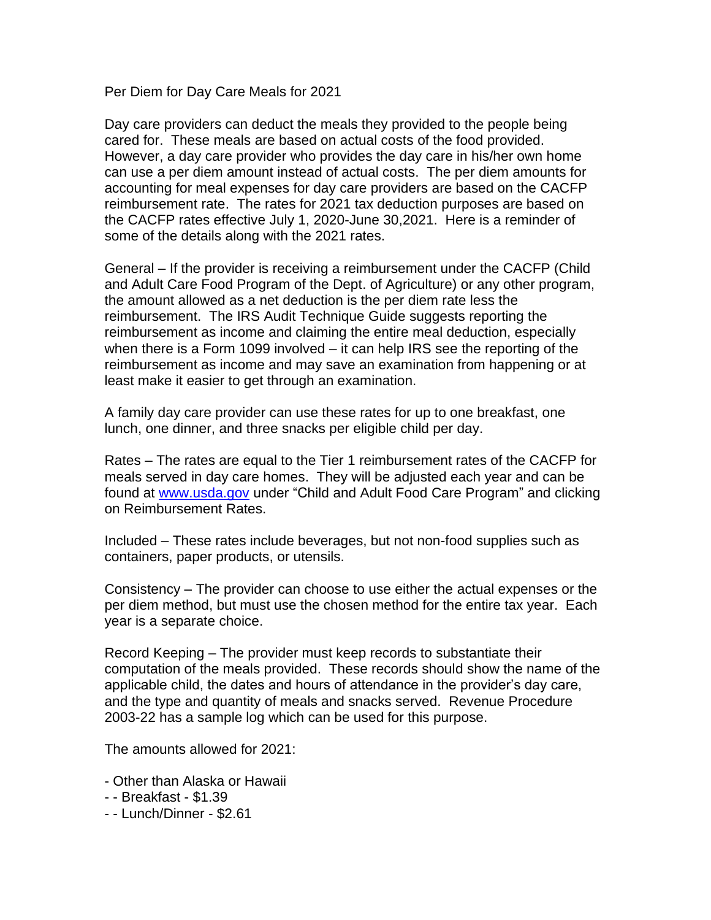Per Diem for Day Care Meals for 2021

Day care providers can deduct the meals they provided to the people being cared for. These meals are based on actual costs of the food provided. However, a day care provider who provides the day care in his/her own home can use a per diem amount instead of actual costs. The per diem amounts for accounting for meal expenses for day care providers are based on the CACFP reimbursement rate. The rates for 2021 tax deduction purposes are based on the CACFP rates effective July 1, 2020-June 30,2021. Here is a reminder of some of the details along with the 2021 rates.

General – If the provider is receiving a reimbursement under the CACFP (Child and Adult Care Food Program of the Dept. of Agriculture) or any other program, the amount allowed as a net deduction is the per diem rate less the reimbursement. The IRS Audit Technique Guide suggests reporting the reimbursement as income and claiming the entire meal deduction, especially when there is a Form 1099 involved – it can help IRS see the reporting of the reimbursement as income and may save an examination from happening or at least make it easier to get through an examination.

A family day care provider can use these rates for up to one breakfast, one lunch, one dinner, and three snacks per eligible child per day.

Rates – The rates are equal to the Tier 1 reimbursement rates of the CACFP for meals served in day care homes. They will be adjusted each year and can be found at [www.usda.gov](http://www.usda.gov/) under "Child and Adult Food Care Program" and clicking on Reimbursement Rates.

Included – These rates include beverages, but not non-food supplies such as containers, paper products, or utensils.

Consistency – The provider can choose to use either the actual expenses or the per diem method, but must use the chosen method for the entire tax year. Each year is a separate choice.

Record Keeping – The provider must keep records to substantiate their computation of the meals provided. These records should show the name of the applicable child, the dates and hours of attendance in the provider's day care, and the type and quantity of meals and snacks served. Revenue Procedure 2003-22 has a sample log which can be used for this purpose.

The amounts allowed for 2021:

- Other than Alaska or Hawaii
- - Breakfast \$1.39
- - Lunch/Dinner \$2.61